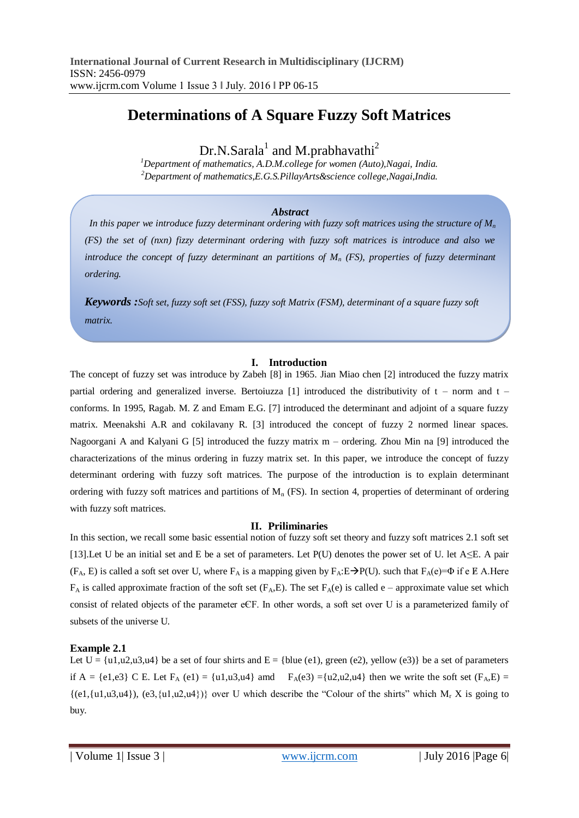# **Determinations of A Square Fuzzy Soft Matrices**

Dr.N.Sarala<sup>1</sup> and M.prabhavathi<sup>2</sup>

*<sup>1</sup>Department of mathematics, A.D.M.college for women (Auto),Nagai, India. <sup>2</sup>Department of mathematics,E.G.S.PillayArts&science college,Nagai,India.*

## *Abstract*

*In this paper we introduce fuzzy determinant ordering with fuzzy soft matrices using the structure of M<sup>n</sup> (FS) the set of (nxn) fizzy determinant ordering with fuzzy soft matrices is introduce and also we introduce the concept of fuzzy determinant an partitions of M<sup>n</sup> (FS), properties of fuzzy determinant ordering.*

*Keywords :Soft set, fuzzy soft set (FSS), fuzzy soft Matrix (FSM), determinant of a square fuzzy soft matrix.*

#### **I. Introduction**

The concept of fuzzy set was introduce by Zabeh [8] in 1965. Jian Miao chen [2] introduced the fuzzy matrix partial ordering and generalized inverse. Bertoiuzza [1] introduced the distributivity of  $t$  – norm and  $t$  – conforms. In 1995, Ragab. M. Z and Emam E.G. [7] introduced the determinant and adjoint of a square fuzzy matrix. Meenakshi A.R and cokilavany R. [3] introduced the concept of fuzzy 2 normed linear spaces. Nagoorgani A and Kalyani G [5] introduced the fuzzy matrix m – ordering. Zhou Min na [9] introduced the characterizations of the minus ordering in fuzzy matrix set. In this paper, we introduce the concept of fuzzy determinant ordering with fuzzy soft matrices. The purpose of the introduction is to explain determinant ordering with fuzzy soft matrices and partitions of  $M_n$  (FS). In section 4, properties of determinant of ordering with fuzzy soft matrices.

# **II. Priliminaries**

In this section, we recall some basic essential notion of fuzzy soft set theory and fuzzy soft matrices 2.1 soft set [13].Let U be an initial set and E be a set of parameters. Let P(U) denotes the power set of U. let A≤E. A pair  $(F_A, E)$  is called a soft set over U, where  $F_A$  is a mapping given by  $F_A: E \rightarrow P(U)$ . such that  $F_A(e) = \Phi$  if e  $E$  A.Here  $F_A$  is called approximate fraction of the soft set ( $F_A$ ,E). The set  $F_A$ (e) is called e – approximate value set which consist of related objects of the parameter eЄF. In other words, a soft set over U is a parameterized family of subsets of the universe U.

# **Example 2.1**

Let  $U = \{u1, u2, u3, u4\}$  be a set of four shirts and  $E = \{blue (e1), green (e2), yellow (e3)\}$  be a set of parameters if A = {e1,e3} C E. Let F<sub>A</sub> (e1) = {u1,u3,u4} amd F<sub>A</sub>(e3) ={u2,u2,u4} then we write the soft set (F<sub>A</sub>,E) =  $\{(e1,\{u1,u3,u4\}), (e3,\{u1,u2,u4\})\}$  over U which describe the "Colour of the shirts" which M<sub>r</sub> X is going to buy.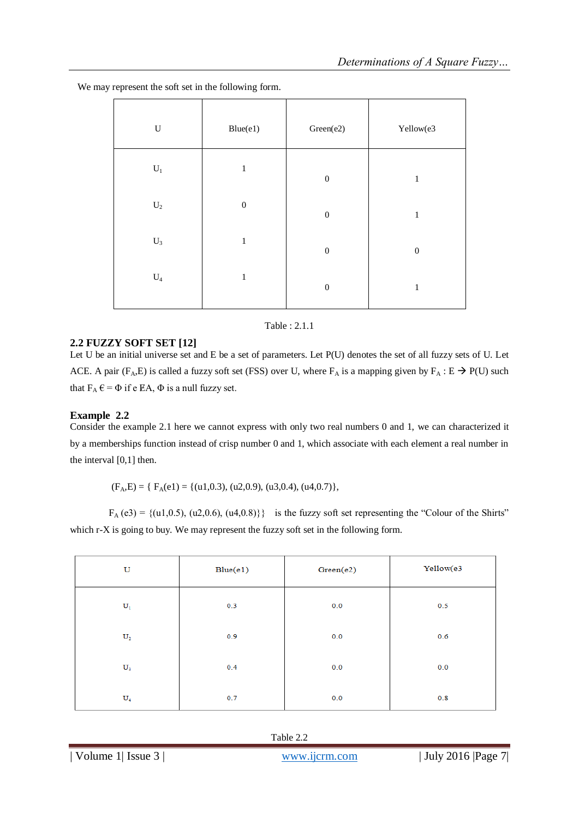| $\mathbf U$    | Blue(e1)         | Green(e2)        | Yellow(e3        |
|----------------|------------------|------------------|------------------|
| $\mathbf{U}_1$ | $\mathbf{1}$     | $\boldsymbol{0}$ | $\mathbf{1}$     |
| $\mathbf{U}_2$ | $\boldsymbol{0}$ | $\boldsymbol{0}$ | $\mathbf 1$      |
| $\mathbf{U}_3$ | $\mathbf{1}$     | $\boldsymbol{0}$ | $\boldsymbol{0}$ |
| $\mathrm{U}_4$ | $\,1\,$          | $\boldsymbol{0}$ | $\mathbf{1}$     |

We may represent the soft set in the following form.

#### Table : 2.1.1

# **2.2 FUZZY SOFT SET [12]**

Let U be an initial universe set and E be a set of parameters. Let P(U) denotes the set of all fuzzy sets of U. Let ACE. A pair (F<sub>A</sub>,E) is called a fuzzy soft set (FSS) over U, where F<sub>A</sub> is a mapping given by F<sub>A</sub> : E  $\rightarrow$  P(U) such that  $F_A \in \Phi$  if e EA,  $\Phi$  is a null fuzzy set.

# **Example 2.2**

Consider the example 2.1 here we cannot express with only two real numbers 0 and 1, we can characterized it by a memberships function instead of crisp number 0 and 1, which associate with each element a real number in the interval [0,1] then.

 $(F_A, E) = \{ F_A(e1) = \{(u1, 0.3), (u2, 0.9), (u3, 0.4), (u4, 0.7) \},\}$ 

 $F_A (e3) = \{(u1, 0.5), (u2, 0.6), (u4, 0.8)\}\$ is the fuzzy soft set representing the "Colour of the Shirts" which r-X is going to buy. We may represent the fuzzy soft set in the following form.

| U              | Blue(e1) | Green(e2) | Yellow(e3 |
|----------------|----------|-----------|-----------|
| $\mathbf{U}_1$ | 0.3      | 0.0       | 0.5       |
| $\mathbf{U}_2$ | 0.9      | 0.0       | 0.6       |
| $\mathbf{U}_3$ | 0.4      | 0.0       | 0.0       |
| $U_4$          | 0.7      | 0.0       | 0.8       |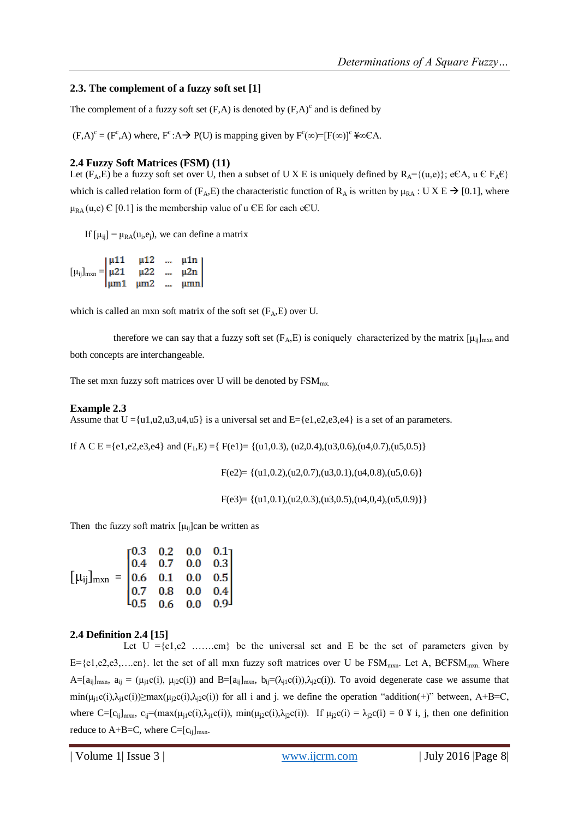# **2.3. The complement of a fuzzy soft set [1]**

The complement of a fuzzy soft set  $(F,A)$  is denoted by  $(F,A)^c$  and is defined by

 $(F,A)^c = (F^c,A)$  where,  $F^c:A \rightarrow P(U)$  is mapping given by  $F^c(\infty) = [F(\infty)]^c \frac{1}{2} \infty CA$ .

## **2.4 Fuzzy Soft Matrices (FSM) (11)**

Let (F<sub>A</sub>,E) be a fuzzy soft set over U, then a subset of U X E is uniquely defined by  $R_A = \{(u,e)\}; e \in A$ ,  $u \in F_A \in B$ which is called relation form of (F<sub>A</sub>,E) the characteristic function of R<sub>A</sub> is written by  $\mu_{RA}$ : U X E  $\rightarrow$  [0.1], where  $\mu_{RA}(u,e) \in [0.1]$  is the membership value of u  $\epsilon$ E for each e $\epsilon$ U.

If  $[\mu_{ij}] = \mu_{RA}(u_i, e_j)$ , we can define a matrix

| $[\mu_{ij}]_{\text{max}} = \begin{vmatrix} \mu 11 & \mu 12 & \dots & \mu 1n \\ \mu 21 & \mu 22 & \dots & \mu 2n \end{vmatrix}$ |                                            |  |
|--------------------------------------------------------------------------------------------------------------------------------|--------------------------------------------|--|
|                                                                                                                                |                                            |  |
|                                                                                                                                | $\left \mu m1 \right  \mu m2 \dots \mu mn$ |  |

which is called an mxn soft matrix of the soft set  $(F_A, E)$  over U.

therefore we can say that a fuzzy soft set ( $F_A, E$ ) is coniquely characterized by the matrix  $[\mu_{ij}]_{mxn}$  and both concepts are interchangeable.

The set mxn fuzzy soft matrices over U will be denoted by  $\text{FSM}_{\text{mx}}$ .

## **Example 2.3**

Assume that  $U = \{u1, u2, u3, u4, u5\}$  is a universal set and  $E = \{e1, e2, e3, e4\}$  is a set of an parameters.

If A C E ={e1,e2,e3,e4} and  $(F_1, E) = \{F(e1) = \{(u1, 0.3), (u2, 0.4), (u3, 0.6), (u4, 0.7), (u5, 0.5)\}\}$ 

$$
F(e2) = \{(u1,0.2),(u2,0.7),(u3,0.1),(u4,0.8),(u5,0.6)\}
$$

 $F(e3) = \{(u1, 0.1), (u2, 0.3), (u3, 0.5), (u4, 0, 4), (u5, 0.9)\}\}$ 

Then the fuzzy soft matrix  $[\mu_{ii}]$ can be written as

$$
\begin{bmatrix} \mu_{ij} \end{bmatrix}_{mxn} = \begin{bmatrix} 0.3 & 0.2 & 0.0 & 0.1 \\ 0.4 & 0.7 & 0.0 & 0.3 \\ 0.6 & 0.1 & 0.0 & 0.5 \\ 0.7 & 0.8 & 0.0 & 0.4 \\ 0.5 & 0.6 & 0.0 & 0.9 \end{bmatrix}
$$

# **2.4 Definition 2.4 [15]**

Let  $U = \{c_1, c_2, \ldots, c_m\}$  be the universal set and E be the set of parameters given by  $E=[e1,e2,e3,...en]$ . let the set of all mxn fuzzy soft matrices over U be  $FSM_{mxn}$ . Let A, BCFSM<sub>mxn</sub>. Where  $A=[a_{ij}]_{mxn}$ ,  $a_{ij}=(\mu_{i1}c(i), \mu_{i2}c(i))$  and  $B=[a_{ij}]_{mxn}$ ,  $b_{ij}=(\lambda_{i1}c(i)), \lambda_{i2}c(i)$ . To avoid degenerate case we assume that  $\min(\mu_{i1}c(i),\lambda_{i1}c(i))\geq \max(\mu_{i2}c(i),\lambda_{i2}c(i))$  for all i and j. we define the operation "addition(+)" between, A+B=C, where  $C=[c_{ij}]_{mxn}$ ,  $c_{ij}=(max(\mu_{j1}c(i),\lambda_{j1}c(i))$ ,  $min(\mu_{j2}c(i),\lambda_{j2}c(i))$ . If  $\mu_{j2}c(i) = \lambda_{j2}c(i) = 0$  ¥ i, j, then one definition reduce to  $A+B=C$ , where  $C=[c_{ii}]_{m \times n}$ .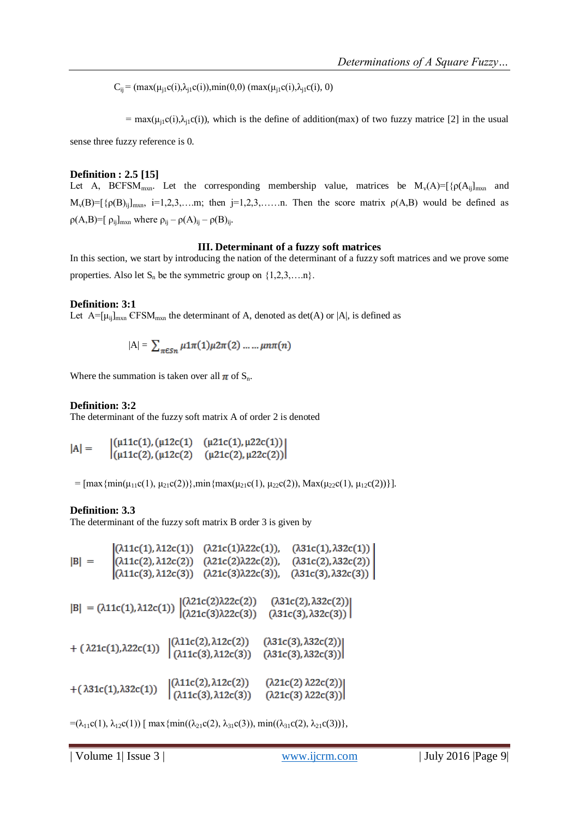$C_{ii} = (max(\mu_{i1}c(i), \lambda_{i1}c(i)), min(0,0) (max(\mu_{i1}c(i), \lambda_{i1}c(i), 0))$ 

= max( $\mu_{i1}c(i),\lambda_{i1}c(i)$ ), which is the define of addition(max) of two fuzzy matrice [2] in the usual

sense three fuzzy reference is 0.

## **Definition : 2.5 [15]**

Let A, BCFSM<sub>mxn</sub>. Let the corresponding membership value, matrices be  $M_v(A) = [\{\rho(A_{ij}]_{mxn} \text{ and }$  $M_v(B) = [\{\rho(B)_{ij}\}_{mxn}, i=1,2,3,...,m;$  then  $j=1,2,3,...,n$ . Then the score matrix  $\rho(A,B)$  would be defined as  $\rho(A,B)$ =[  $\rho_{ij}$ ]<sub>mxn</sub> where  $\rho_{ij} - \rho(A)_{ij} - \rho(B)_{ij}$ .

## **III. Determinant of a fuzzy soft matrices**

In this section, we start by introducing the nation of the determinant of a fuzzy soft matrices and we prove some properties. Also let  $S_n$  be the symmetric group on  $\{1,2,3,...,n\}$ .

## **Definition: 3:1**

Let  $A=[\mu_{ij}]_{mxn}$  CFSM<sub>mxn</sub> the determinant of A, denoted as det(A) or |A|, is defined as

$$
|\mathbf{A}| = \sum_{\pi \in S_n} \mu \mathbf{1} \pi(1) \mu \mathbf{2} \pi(2) \dots \dots \mu n \pi(n)
$$

Where the summation is taken over all  $\pi$  of  $S_n$ .

## **Definition: 3:2**

The determinant of the fuzzy soft matrix A of order 2 is denoted

$$
|A| = \begin{cases} (\mu 11c(1), (\mu 12c(1) - (\mu 21c(1), \mu 22c(1))) \\ (\mu 11c(2), (\mu 12c(2) - (\mu 21c(2), \mu 22c(2))) \end{cases}
$$

=  $[\max{\min(\mu_{11}c(1), \mu_{21}c(2))}]$ ,min $\{\max(\mu_{21}c(1), \mu_{22}c(2)), \text{Max}(\mu_{22}c(1), \mu_{12}c(2))\}]$ .

# **Definition: 3.3**

The determinant of the fuzzy soft matrix B order 3 is given by

$$
|B| = \begin{vmatrix} (\lambda 11c(1), \lambda 12c(1)) & (\lambda 21c(1)\lambda 22c(1)), & (\lambda 31c(1), \lambda 32c(1)) \\ (\lambda 11c(2), \lambda 12c(2)) & (\lambda 21c(2)\lambda 22c(2)), & (\lambda 31c(2), \lambda 32c(2)) \\ (\lambda 11c(3), \lambda 12c(3)) & (\lambda 21c(3)\lambda 22c(3)), & (\lambda 31c(3), \lambda 32c(3)) \end{vmatrix}
$$
  
\n
$$
|B| = (\lambda 11c(1), \lambda 12c(1)) \begin{vmatrix} (\lambda 21c(2)\lambda 22c(2)) & (\lambda 31c(2), \lambda 32c(2)) \\ (\lambda 21c(3)\lambda 22c(3)) & (\lambda 31c(3), \lambda 32c(2)) \end{vmatrix}
$$
  
\n+  $(\lambda 21c(1), \lambda 22c(1)) \begin{vmatrix} (\lambda 11c(2), \lambda 12c(2)) & (\lambda 31c(3), \lambda 32c(2)) \\ (\lambda 11c(3), \lambda 12c(3)) & (\lambda 31c(3), \lambda 32c(3)) \end{vmatrix}$   
\n+  $(\lambda 31c(1), \lambda 32c(1)) \begin{vmatrix} (\lambda 11c(2), \lambda 12c(2)) & (\lambda 21c(2)\lambda 22c(2)) \\ (\lambda 11c(3), \lambda 12c(3)) & (\lambda 21c(3)\lambda 22c(3)) \end{vmatrix}$ 

 $=(\lambda_{11}c(1), \lambda_{12}c(1))$  [ max {min(( $\lambda_{21}c(2), \lambda_{31}c(3)$ ), min(( $\lambda_{31}c(2), \lambda_{21}c(3)$ )},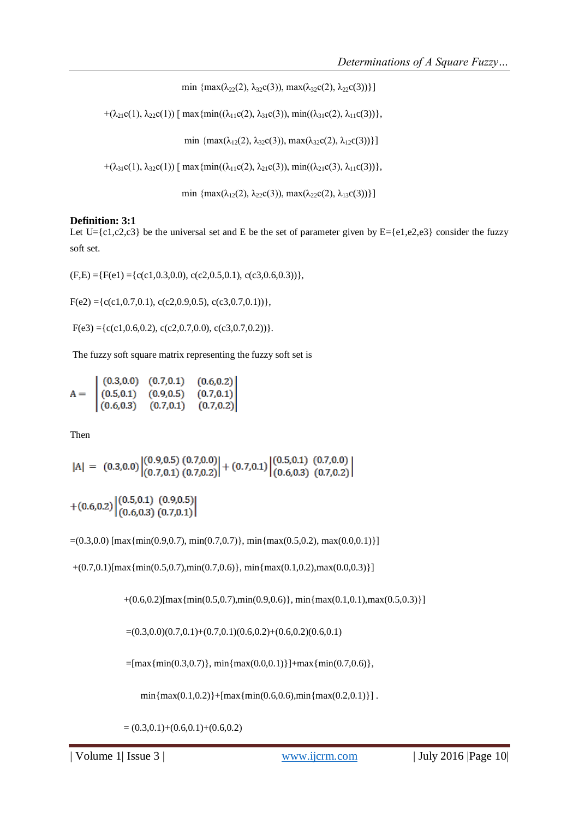min {max( $\lambda_{22}(2), \lambda_{32}c(3)$ ), max( $\lambda_{32}c(2), \lambda_{22}c(3)$ )}]

+( $\lambda_{21}c(1), \lambda_{22}c(1)$ ) [ max {min(( $\lambda_{11}c(2), \lambda_{31}c(3)$ ), min(( $\lambda_{31}c(2), \lambda_{11}c(3)$ )},

min  $\{\max(\lambda_{12}(2), \lambda_{32}c(3)), \max(\lambda_{32}c(2), \lambda_{12}c(3))\}\}\$ 

+( $\lambda_{31}c(1), \lambda_{32}c(1)$ ) [ max {min(( $\lambda_{11}c(2), \lambda_{21}c(3)$ ), min(( $\lambda_{21}c(3), \lambda_{11}c(3)$ )},

min  $\{\max(\lambda_{12}(2), \lambda_{22}c(3)), \max(\lambda_{22}c(2), \lambda_{13}c(3))\}\}\$ 

#### **Definition: 3:1**

Let  $U = \{c1, c2, c3\}$  be the universal set and E be the set of parameter given by  $E = \{e1, e2, e3\}$  consider the fuzzy soft set.

 $(F,E) = {F(e1) = {c(c1,0.3,0.0), c(c2,0.5,0.1), c(c3,0.6,0.3))},$ 

 $F(e2) = {c(c1, 0.7, 0.1), c(c2, 0.9, 0.5), c(c3, 0.7, 0.1)}$ 

 $F(e3) = {c(c1,0.6,0.2), c(c2,0.7,0.0), c(c3,0.7,0.2))}.$ 

The fuzzy soft square matrix representing the fuzzy soft set is

 $\begin{array}{|cccc|} (0.3,0.0) & (0.7,0.1) & (0.6,0.2) \\ (0.5,0.1) & (0.9,0.5) & (0.7,0.1) \\ (0.6,0.3) & (0.7,0.1) & (0.7,0.2) \end{array}$  $A =$ 

Then

$$
|A| = (0.3, 0.0) \begin{vmatrix} (0.9, 0.5) (0.7, 0.0) \\ (0.7, 0.1) (0.7, 0.2) \end{vmatrix} + (0.7, 0.1) \begin{vmatrix} (0.5, 0.1) (0.7, 0.0) \\ (0.6, 0.3) (0.7, 0.2) \end{vmatrix}
$$

$$
+ (0.6, 0.2) \begin{vmatrix} (0.5, 0.1) & (0.9, 0.5) \\ (0.6, 0.3) & (0.7, 0.1) \end{vmatrix}
$$

 $=(0.3,0.0)$  [max{min(0.9,0.7), min(0.7,0.7)}, min{max(0.5,0.2), max(0.0,0.1)}]

 $+(0.7,0.1)[\max{\{min(0.5,0.7),min(0.7,0.6)\}}, \min{\{max(0.1,0.2),max(0.0,0.3)\}}]$ 

 $+(0.6,0.2)$ [max{min(0.5,0.7),min(0.9,0.6)}, min{max(0.1,0.1),max(0.5,0.3)}]

 $=(0.3,0.0)(0.7,0.1)+(0.7,0.1)(0.6,0.2)+(0.6,0.2)(0.6,0.1)$ 

 $=[\max{\min(0.3, 0.7)}$ ,  $\min{\max(0.0, 0.1)}] + \max{\min(0.7, 0.6)}$ 

 $min{max(0.1, 0.2)}+[max{min(0.6, 0.6)},min{max(0.2, 0.1)}]$ .

 $=(0.3,0.1)+(0.6,0.1)+(0.6,0.2)$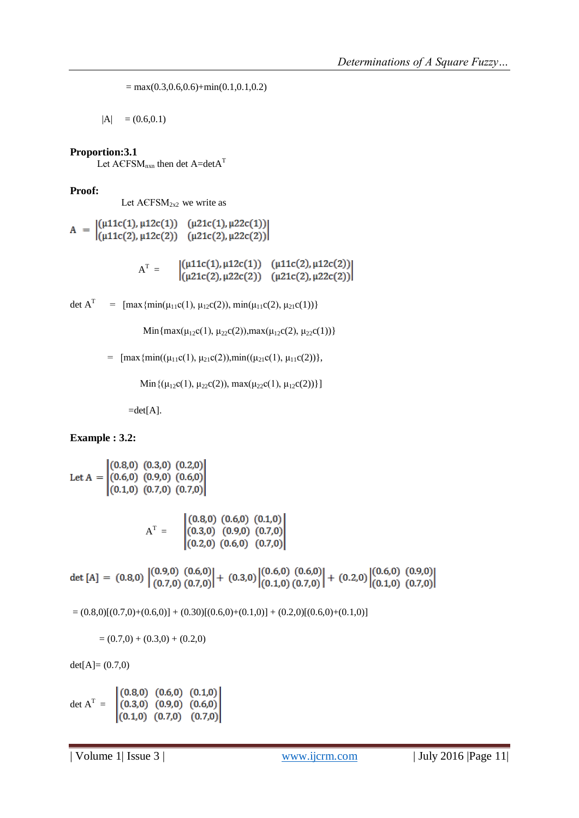$=$  max(0.3,0.6,0.6)+min(0.1,0.1,0.2)

 $|A| = (0.6, 0.1)$ 

**Proportion:3.1**

Let  $ACFSM$ <sub>nxn</sub> then det  $A=detA^{T}$ 

**Proof:**

Let  $ACFSM<sub>2x2</sub>$  we write as

 $\mathbf{A} \ = \ \begin{vmatrix} (\mu 11 \mathsf{c}(1), \mu 12 \mathsf{c}(1)) & (\mu 21 \mathsf{c}(1), \mu 22 \mathsf{c}(1)) \\ (\mu 11 \mathsf{c}(2), \mu 12 \mathsf{c}(2)) & (\mu 21 \mathsf{c}(2), \mu 22 \mathsf{c}(2)) \end{vmatrix}$ 

 $A^T =$ 

det A<sup>T</sup> =  $\left[\max\{\min(\mu_{11}c(1), \mu_{12}c(2)), \min(\mu_{11}c(2), \mu_{21}c(1))\}\right]$ 

Min{max( $\mu_{12}c(1), \mu_{22}c(2)$ ),max( $\mu_{12}c(2), \mu_{22}c(1)$ )}

=  $\text{[max}\{\text{min}((\mu_{11}c(1), \mu_{21}c(2)), \text{min}((\mu_{21}c(1), \mu_{11}c(2))\},\$ 

Min $\{(\mu_{12}c(1), \mu_{22}c(2)), \max(\mu_{22}c(1), \mu_{12}c(2))\}\$ 

 $=det[A].$ 

# **Example : 3.2:**

Let A =  $\begin{bmatrix} (0.8,0) & (0.3,0) & (0.2,0) \\ (0.6,0) & (0.9,0) & (0.6,0) \\ (0.1,0) & (0.7,0) & (0.7,0) \end{bmatrix}$ 

 $A^T =$ 

det [A] = (0.8,0)  $\begin{vmatrix} (0.9,0) & (0.6,0) \\ (0.7,0) & (0.7,0) \end{vmatrix}$  + (0.3,0)  $\begin{vmatrix} (0.6,0) & (0.6,0) \\ (0.1,0) & (0.7,0) \end{vmatrix}$  + (0.2,0)  $\begin{vmatrix} (0.6,0) & (0.9,0) \\ (0.1,0) & (0.7,0) \end{vmatrix}$ 

 $= (0.8,0)[(0.7,0)+(0.6,0)] + (0.30)[(0.6,0)+(0.1,0)] + (0.2,0)[(0.6,0)+(0.1,0)]$ 

 $=(0.7,0) + (0.3,0) + (0.2,0)$ 

 $det[A] = (0.7,0)$ 

 $\det A^{T} =$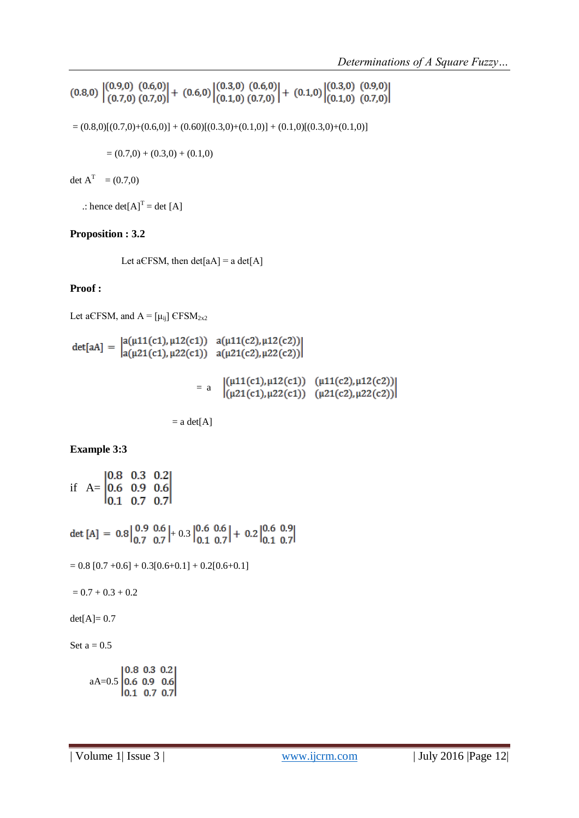$$
(0.8,0) | (0.9,0) (0.6,0) | + (0.6,0) | (0.3,0) (0.6,0) | + (0.1,0) (0.3,0) (0.9,0) (0.7,0)
$$

 $= (0.8,0)[(0.7,0)+(0.6,0)] + (0.60)[(0.3,0)+(0.1,0)] + (0.1,0)[(0.3,0)+(0.1,0)]$ 

 $=(0.7,0) + (0.3,0) + (0.1,0)$ 

det  $A^T = (0.7,0)$ 

 $\therefore$  hence det[A]<sup>T</sup> = det [A]

# **Proposition : 3.2**

Let a $EFSM$ , then det[aA] = a det[A]

# **Proof :**

Let aCFSM, and  $A = [\mu_{ij}]$  CFSM<sub>2x2</sub>

det[aA] =  $\begin{vmatrix} a(\mu 11(c1), \mu 12(c1)) & a(\mu 11(c2), \mu 12(c2)) \\ a(\mu 21(c1), \mu 22(c1)) & a(\mu 21(c2), \mu 22(c2)) \end{vmatrix}$  $1(n11(c1) n12(c1))$   $(n11(c2) n12(c2))1$ 

$$
= a \quad \begin{array}{l} (\mu 11(c1), \mu 12(c1)) & (\mu 11(c2), \mu 12(c2)) \\ (\mu 21(c1), \mu 22(c1)) & (\mu 21(c2), \mu 22(c2)) \end{array}
$$

$$
= a \, det[A]
$$

# **Example 3:3**

if  $A = \begin{bmatrix} 0.8 & 0.3 & 0.2 \\ 0.6 & 0.9 & 0.6 \\ 0.1 & 0.7 & 0.7 \end{bmatrix}$ 

det [A] =  $0.8\begin{vmatrix} 0.9 & 0.6 \\ 0.7 & 0.7 \end{vmatrix} + 0.3\begin{vmatrix} 0.6 & 0.6 \\ 0.1 & 0.7 \end{vmatrix} + 0.2\begin{vmatrix} 0.6 & 0.9 \\ 0.1 & 0.7 \end{vmatrix}$ 

 $= 0.8 [0.7 +0.6] + 0.3[0.6 +0.1] + 0.2[0.6 +0.1]$ 

 $= 0.7 + 0.3 + 0.2$ 

 $det[A] = 0.7$ 

Set  $a = 0.5$ 

 $aA=0.5\begin{bmatrix} 0.8 & 0.3 & 0.2 \\ 0.6 & 0.9 & 0.6 \\ 0.1 & 0.7 & 0.7 \end{bmatrix}$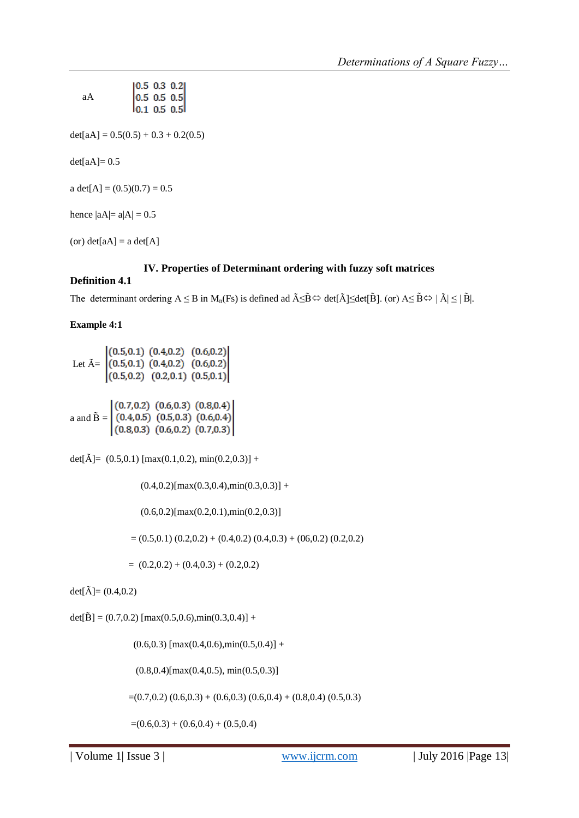| aА                            | $\begin{bmatrix} 0.5 & 0.3 & 0.2 \\ 0.5 & 0.5 & 0.5 \\ 0.1 & 0.5 & 0.5 \end{bmatrix}$ |
|-------------------------------|---------------------------------------------------------------------------------------|
|                               |                                                                                       |
|                               |                                                                                       |
|                               | $det[aA] = 0.5(0.5) + 0.3 + 0.2(0.5)$                                                 |
|                               |                                                                                       |
| $det[aA]=0.5$                 |                                                                                       |
|                               |                                                                                       |
| a det[A] = $(0.5)(0.7) = 0.5$ |                                                                                       |
|                               |                                                                                       |
| hence $ aA =a A =0.5$         |                                                                                       |
|                               |                                                                                       |
| (or) $det[aA] = a det[A]$     |                                                                                       |
|                               |                                                                                       |

## **IV. Properties of Determinant ordering with fuzzy soft matrices**

## **Definition 4.1**

The determinant ordering  $A \leq B$  in  $M_n(Fs)$  is defined ad  $\tilde{A} \leq \tilde{B} \Leftrightarrow$  det $[\tilde{A}] \leq det[\tilde{B}]$ . (or)  $A \leq \tilde{B} \Leftrightarrow |\tilde{A}| \leq |\tilde{B}|$ .

#### **Example 4:1**

Let  $\tilde{A} = \begin{bmatrix} (0.5, 0.1) & (0.4, 0.2) & (0.6, 0.2) \\ (0.5, 0.1) & (0.4, 0.2) & (0.6, 0.2) \\ (0.5, 0.2) & (0.2, 0.1) & (0.5, 0.1) \end{bmatrix}$ a and  $\tilde{B} = \begin{bmatrix} (0.7, 0.2) & (0.6, 0.3) & (0.8, 0.4) \\ (0.4, 0.5) & (0.5, 0.3) & (0.6, 0.4) \\ (0.8, 0.3) & (0.6, 0.2) & (0.7, 0.3) \end{bmatrix}$ 

det[ $\tilde{A}$ ]= (0.5,0.1) [max(0.1,0.2), min(0.2,0.3)] +

 $(0.4, 0.2)$ [max $(0.3, 0.4)$ ,min $(0.3, 0.3)$ ] +

 $(0.6, 0.2)$ [max $(0.2, 0.1)$ ,min $(0.2, 0.3)$ ]

 $=(0.5,0.1)$   $(0.2,0.2) + (0.4,0.2)$   $(0.4,0.3) + (06,0.2)$   $(0.2,0.2)$ 

 $= (0.2,0.2) + (0.4,0.3) + (0.2,0.2)$ 

 $det[\tilde{A}] = (0.4, 0.2)$ 

 $det[\tilde{B}] = (0.7, 0.2)$  [max(0.5,0.6),min(0.3,0.4)] +

 $(0.6, 0.3)$  [max $(0.4, 0.6)$ ,min $(0.5, 0.4)$ ] +

 $(0.8, 0.4)$ [max $(0.4, 0.5)$ , min $(0.5, 0.3)$ ]

 $=(0.7,0.2)$   $(0.6,0.3) + (0.6,0.3)$   $(0.6,0.4) + (0.8,0.4)$   $(0.5,0.3)$ 

 $=(0.6,0.3) + (0.6,0.4) + (0.5,0.4)$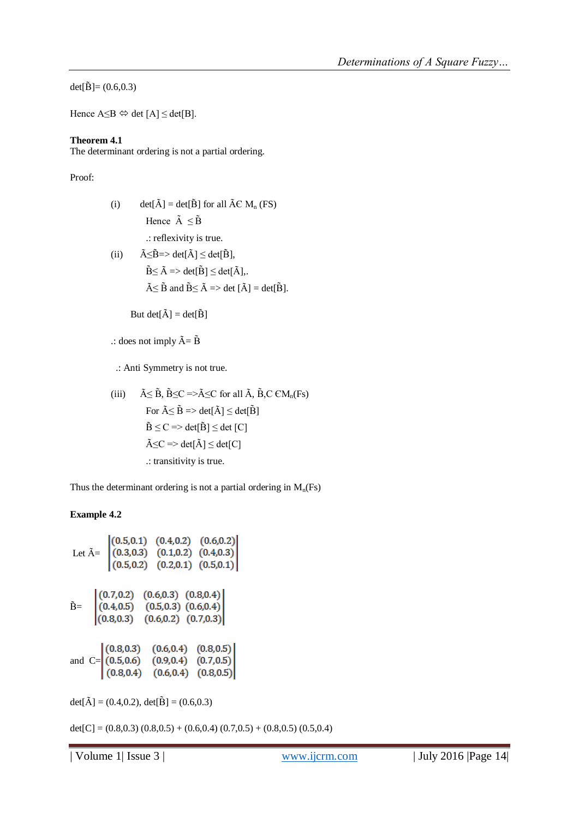det[ $\tilde{B}$ ]= (0.6,0.3)

Hence  $A \leq B \Leftrightarrow det [A] \leq det[B]$ .

## **Theorem 4.1**

The determinant ordering is not a partial ordering.

## Proof:

- (i) det[ $\tilde{A}$ ] = det[ $\tilde{B}$ ] for all  $\tilde{A} \in M_n$  (FS) Hence  $\tilde{A} \leq \tilde{B}$ .: reflexivity is true.
- (ii)  $\tilde{A} \leq \tilde{B} \Rightarrow \det[\tilde{A}] \leq \det[\tilde{B}],$  $\tilde{B} \leq \tilde{A} \Rightarrow det[\tilde{B}] \leq det[\tilde{A}],$  $\tilde{A} \leq \tilde{B}$  and  $\tilde{B} \leq \tilde{A} \Rightarrow$  det  $[\tilde{A}] = det[\tilde{B}].$

But det[ $\tilde{A}$ ] = det[ $\tilde{B}$ ]

## $\therefore$  does not imply  $\tilde{A} = \tilde{B}$

.: Anti Symmetry is not true.

(iii) 
$$
\tilde{A} \leq \tilde{B}, \tilde{B} \leq C \Rightarrow \tilde{A} \leq C \text{ for all } \tilde{A}, \tilde{B}, C \in M_n(Fs)
$$
  
\nFor  $\tilde{A} \leq \tilde{B} \Rightarrow \det[\tilde{A}] \leq \det[\tilde{B}]$   
\n $\tilde{B} \leq C \Rightarrow \det[\tilde{B}] \leq \det[C]$   
\n $\tilde{A} \leq C \Rightarrow \det[\tilde{A}] \leq \det[C]$   
\n.: transitivity is true.

Thus the determinant ordering is not a partial ordering in  $M_n(Fs)$ 

# **Example 4.2**

Let 
$$
\tilde{A} = \begin{bmatrix} (0.5, 0.1) & (0.4, 0.2) & (0.6, 0.2) \\ (0.3, 0.3) & (0.1, 0.2) & (0.4, 0.3) \\ (0.5, 0.2) & (0.2, 0.1) & (0.5, 0.1) \end{bmatrix}
$$
  
 $\tilde{B} = \begin{bmatrix} (0.7, 0.2) & (0.6, 0.3) & (0.8, 0.4) \\ (0.4, 0.5) & (0.5, 0.3) & (0.6, 0.4) \\ (0.8, 0.3) & (0.6, 0.2) & (0.7, 0.3) \end{bmatrix}$   
and C= $\begin{bmatrix} (0.8, 0.3) & (0.6, 0.4) & (0.8, 0.5) \\ (0.5, 0.6) & (0.9, 0.4) & (0.7, 0.5) \\ (0.8, 0.4) & (0.6, 0.4) & (0.8, 0.5) \end{bmatrix}$ 

det[ $\tilde{A}$ ] = (0.4,0.2), det[ $\tilde{B}$ ] = (0.6,0.3)

 $det[C] = (0.8, 0.3) (0.8, 0.5) + (0.6, 0.4) (0.7, 0.5) + (0.8, 0.5) (0.5, 0.4)$